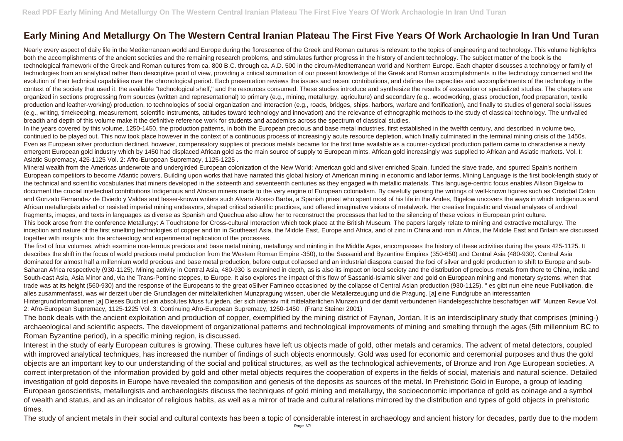## **Early Mining And Metallurgy On The Western Central Iranian Plateau The First Five Years Of Work Archaologie In Iran Und Turan**

Nearly every aspect of daily life in the Mediterranean world and Europe during the florescence of the Greek and Roman cultures is relevant to the topics of engineering and technology. This volume highlights both the accomplishments of the ancient societies and the remaining research problems, and stimulates further progress in the history of ancient technology. The subject matter of the book is the technological framework of the Greek and Roman cultures from ca. 800 B.C. through ca. A.D. 500 in the circum-Mediterranean world and Northern Europe. Each chapter discusses a technology or family of technologies from an analytical rather than descriptive point of view, providing a critical summation of our present knowledge of the Greek and Roman accomplishments in the technology concerned and the evolution of their technical capabilities over the chronological period. Each presentation reviews the issues and recent contributions, and defines the capacities and accomplishments of the technology in the context of the society that used it, the available "technological shelf," and the resources consumed. These studies introduce and synthesize the results of excavation or specialized studies. The chapters are organized in sections progressing from sources (written and representational) to primary (e.g., mining, metallurgy, agriculture) and secondary (e.g., woodworking, glass production, food preparation, textile production and leather-working) production, to technologies of social organization and interaction (e.g., roads, bridges, ships, harbors, warfare and fortification), and finally to studies of general social issues (e.g., writing, timekeeping, measurement, scientific instruments, attitudes toward technology and innovation) and the relevance of ethnographic methods to the study of classical technology. The unrivalled breadth and depth of this volume make it the definitive reference work for students and academics across the spectrum of classical studies.

In the years covered by this volume, 1250-1450, the production patterns, in both the European precious and base metal industries, first established in the twelfth century, and described in volume two, continued to be played out. This now took place however in the context of a continuous process of increasingly acute resource depletion, which finally culminated in the terminal mining crisis of the 1450s. Even as European silver production declined, however, compensatory supplies of precious metals became for the first time available as a counter-cyclical production pattern came to characterise a newly emergent European gold industry which by 1450 had displaced African gold as the main source of supply to European mints. African gold increasingly was supplied to African and Asiatic markets. Vol. I: Asiatic Supremacy, 425-1125 Vol. 2: Afro-European Supremacy, 1125-1225 .

Mineral wealth from the Americas underwrote and undergirded European colonization of the New World; American gold and silver enriched Spain, funded the slave trade, and spurred Spain's northern European competitors to become Atlantic powers. Building upon works that have narrated this global history of American mining in economic and labor terms, Mining Language is the first book-length study of the technical and scientific vocabularies that miners developed in the sixteenth and seventeenth centuries as they engaged with metallic materials. This language-centric focus enables Allison Bigelow to document the crucial intellectual contributions Indigenous and African miners made to the very engine of European colonialism. By carefully parsing the writings of well-known figures such as Cristobal Colon and Gonzalo Fernandez de Oviedo y Valdes and lesser-known writers such Alvaro Alonso Barba, a Spanish priest who spent most of his life in the Andes, Bigelow uncovers the ways in which Indigenous and African metallurgists aided or resisted imperial mining endeavors, shaped critical scientific practices, and offered imaginative visions of metalwork. Her creative linguistic and visual analyses of archival fragments, images, and texts in languages as diverse as Spanish and Quechua also allow her to reconstruct the processes that led to the silencing of these voices in European print culture. This book arose from the conference Metallurgy: A Touchstone for Cross-cultural Interaction which took place at the British Museum. The papers largely relate to mining and extractive metallurgy. The inception and nature of the first smelting technologies of copper and tin in Southeast Asia, the Middle East, Europe and Africa, and of zinc in China and iron in Africa, the Middle East and Britain are discussed together with insights into the archaeology and experimental replication of the processes.

The first of four volumes, which examine non-ferrous precious and base metal mining, metallurgy and minting in the Middle Ages, encompasses the history of these activities during the years 425-1125. It describes the shift in the focus of world precious metal production from the Western Roman Empire -350), to the Sassanid and Byzantine Empires (350-650) and Central Asia (480-930). Central Asia dominated for almost half a millennium world precious and base metal production, before output collapsed and an industrial diaspora caused the foci of silver and gold production to shift to Europe and sub-Saharan Africa respectively (930-1125). Mining activity in Central Asia, 480-930 is examined in depth, as is also its impact on local society and the distribution of precious metals from there to China, India and South-east Asia, Asia Minor and, via the Trans-Pontine steppes, to Europe. It also explores the impact of this flow of Sassanid-Islamic silver and gold on European mining and monetary systems, when that trade was at its height (560-930) and the response of the Europeans to the great oSilver Famineo occasioned by the collapse of Central Asian production (930-1125). " es gibt nun eine neue Publikation, die alles zusammenfasst, was wir derzeit uber die Grundlagen der mittelalterlichen Munzpragung wissen, uber die Metallerzeugung und die Pragung. [a] eine Fundgrube an interessanten Hintergrundinformationen [a] Dieses Buch ist ein absolutes Muss fur jeden, der sich intensiv mit mittelalterlichen Munzen und der damit verbundenen Handelsgeschichte beschaftigen will" Munzen Revue Vol. 2: Afro-European Supremacy, 1125-1225 Vol. 3: Continuing Afro-European Supremacy, 1250-1450 . (Franz Steiner 2001)

The book deals with the ancient exploitation and production of copper, exemplified by the mining district of Faynan, Jordan. It is an interdisciplinary study that comprises (mining-) archaeological and scientific aspects. The development of organizational patterns and technological improvements of mining and smelting through the ages (5th millennium BC to Roman Byzantine period), in a specific mining region, is discussed.

Interest in the study of early European cultures is growing. These cultures have left us objects made of gold, other metals and ceramics. The advent of metal detectors, coupled with improved analytical techniques, has increased the number of findings of such objects enormously. Gold was used for economic and ceremonial purposes and thus the gold objects are an important key to our understanding of the social and political structures, as well as the technological achievements, of Bronze and Iron Age European societies. A correct interpretation of the information provided by gold and other metal objects requires the cooperation of experts in the fields of social, materials and natural science. Detailed investigation of gold deposits in Europe have revealed the composition and genesis of the deposits as sources of the metal. In Prehistoric Gold in Europe, a group of leading European geoscientists, metallurgists and archaeologists discuss the techniques of gold mining and metallurgy, the socioeconomic importance of gold as coinage and a symbol of wealth and status, and as an indicator of religious habits, as well as a mirror of trade and cultural relations mirrored by the distribution and types of gold objects in prehistoric times.

The study of ancient metals in their social and cultural contexts has been a topic of considerable interest in archaeology and ancient history for decades, partly due to the modern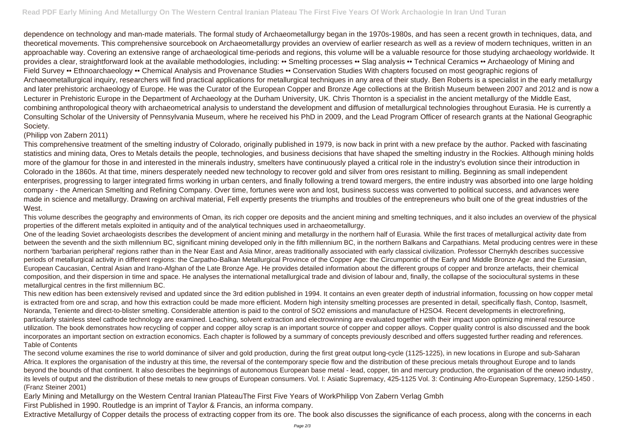dependence on technology and man-made materials. The formal study of Archaeometallurgy began in the 1970s-1980s, and has seen a recent growth in techniques, data, and theoretical movements. This comprehensive sourcebook on Archaeometallurgy provides an overview of earlier research as well as a review of modern techniques, written in an approachable way. Covering an extensive range of archaeological time-periods and regions, this volume will be a valuable resource for those studying archaeology worldwide. It provides a clear, straightforward look at the available methodologies, including: •• Smelting processes •• Slag analysis •• Technical Ceramics •• Archaeology of Mining and Field Survey •• Ethnoarchaeology •• Chemical Analysis and Provenance Studies •• Conservation Studies With chapters focused on most geographic regions of Archaeometallurgical inquiry, researchers will find practical applications for metallurgical techniques in any area of their study. Ben Roberts is a specialist in the early metallurgy and later prehistoric archaeology of Europe. He was the Curator of the European Copper and Bronze Age collections at the British Museum between 2007 and 2012 and is now a Lecturer in Prehistoric Europe in the Department of Archaeology at the Durham University, UK. Chris Thornton is a specialist in the ancient metallurgy of the Middle East, combining anthropological theory with archaeometrical analysis to understand the development and diffusion of metallurgical technologies throughout Eurasia. He is currently a Consulting Scholar of the University of Pennsylvania Museum, where he received his PhD in 2009, and the Lead Program Officer of research grants at the National Geographic Society.

## (Philipp von Zabern 2011)

This comprehensive treatment of the smelting industry of Colorado, originally published in 1979, is now back in print with a new preface by the author. Packed with fascinating statistics and mining data, Ores to Metals details the people, technologies, and business decisions that have shaped the smelting industry in the Rockies. Although mining holds more of the glamour for those in and interested in the minerals industry, smelters have continuously played a critical role in the industry's evolution since their introduction in Colorado in the 1860s. At that time, miners desperately needed new technology to recover gold and silver from ores resistant to milling. Beginning as small independent enterprises, progressing to larger integrated firms working in urban centers, and finally following a trend toward mergers, the entire industry was absorbed into one large holding company - the American Smelting and Refining Company. Over time, fortunes were won and lost, business success was converted to political success, and advances were made in science and metallurgy. Drawing on archival material, Fell expertly presents the triumphs and troubles of the entrepreneurs who built one of the great industries of the West.

This volume describes the geography and environments of Oman, its rich copper ore deposits and the ancient mining and smelting techniques, and it also includes an overview of the physical properties of the different metals exploited in antiquity and of the analytical techniques used in archaeometallurgy.

One of the leading Soviet archaeologists describes the development of ancient mining and metallurgy in the northern half of Eurasia. While the first traces of metallurgical activity date from between the seventh and the sixth millennium BC, significant mining developed only in the fifth millennium BC, in the northern Balkans and Carpathians. Metal producing centres were in these northern 'barbarian peripheral' regions rather than in the Near East and Asia Minor, areas traditionally associated with early classical civilization. Professor Chernykh describes successive periods of metallurgical activity in different regions: the Carpatho-Balkan Metallurgical Province of the Copper Age: the Circumpontic of the Early and Middle Bronze Age: and the Eurasian, European Caucasian, Central Asian and Irano-Afghan of the Late Bronze Age. He provides detailed information about the different groups of copper and bronze artefacts, their chemical composition, and their dispersion in time and space. He analyses the international metallurgical trade and division of labour and, finally, the collapse of the sociocultural systems in these metallurgical centres in the first millennium BC.

This new edition has been extensively revised and updated since the 3rd edition published in 1994. It contains an even greater depth of industrial information, focussing on how copper metal is extracted from ore and scrap, and how this extraction could be made more efficient. Modern high intensity smelting processes are presented in detail, specifically flash, Contop, Isasmelt, Noranda, Teniente and direct-to-blister smelting. Considerable attention is paid to the control of SO2 emissions and manufacture of H2SO4. Recent developments in electrorefining, particularly stainless steel cathode technology are examined. Leaching, solvent extraction and electrowinning are evaluated together with their impact upon optimizing mineral resource utilization. The book demonstrates how recycling of copper and copper alloy scrap is an important source of copper and copper alloys. Copper quality control is also discussed and the book incorporates an important section on extraction economics. Each chapter is followed by a summary of concepts previously described and offers suggested further reading and references. Table of Contents

The second volume examines the rise to world dominance of silver and gold production, during the first great output long-cycle (1125-1225), in new locations in Europe and sub-Saharan Africa. It explores the organisation of the industry at this time, the reversal of the contemporary specie flow and the distribution of these precious metals throughout Europe and to lands beyond the bounds of that continent. It also describes the beginnings of autonomous European base metal - lead, copper, tin and mercury production, the organisation of the onewo industry, its levels of output and the distribution of these metals to new groups of European consumers. Vol. I: Asiatic Supremacy, 425-1125 Vol. 3: Continuing Afro-European Supremacy, 1250-1450 . (Franz Steiner 2001)

Early Mining and Metallurgy on the Western Central Iranian PlateauThe First Five Years of WorkPhilipp Von Zabern Verlag Gmbh First Published in 1990. Routledge is an imprint of Taylor & Francis, an informa company.

Extractive Metallurgy of Copper details the process of extracting copper from its ore. The book also discusses the significance of each process, along with the concerns in each